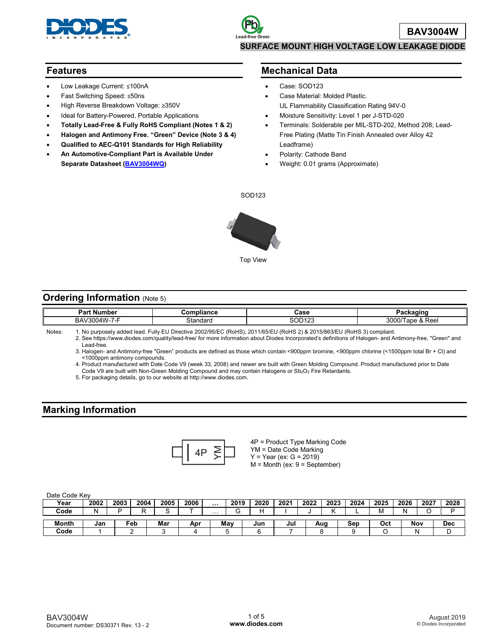

### **Features**

- Low Leakage Current: ≤100nA
- Fast Switching Speed: ≤50ns
- High Reverse Breakdown Voltage: ≥350V
- Ideal for Battery-Powered, Portable Applications
- **Totally Lead-Free & Fully RoHS Compliant (Notes 1 & 2)**
- **Halogen and Antimony Free. "Green" Device (Note 3 & 4)**
- **Qualified to AEC-Q101 Standards for High Reliability**
- **An Automotive-Compliant Part is Available Under Separate Datasheet [\(BAV3004WQ\)](https://www.diodes.com/assets/Datasheets/BAV3004WQ.pdf)**

### **Mechanical Data**

- Case: SOD123
- Case Material: Molded Plastic. UL Flammability Classification Rating 94V-0
- Moisture Sensitivity: Level 1 per J-STD-020
- Terminals: Solderable per MIL-STD-202, Method 208; Lead-Free Plating (Matte Tin Finish Annealed over Alloy 42 Leadframe)
- Polarity: Cathode Band
- Weight: 0.01 grams (Approximate)

SOD123



### **Ordering Information (Note 5)**

|        | <b>Part Number</b>      | Compliance                            | Case                                                 | Packaging        |
|--------|-------------------------|---------------------------------------|------------------------------------------------------|------------------|
|        | BAV3004W-7-F            | Standard                              | 200122<br>טגו שט                                     | 3000/Tape & Reel |
| Notes: | heal hahhe vlazomun old | Eully ELL Directive 2002/95/EC (RoHS) | 2011/65/ELL(RoHS 2) & 2015/863/ELL(RoHS 3) compliant |                  |

Notes: 1. No purposely added lead. Fully EU Directive 2002/95/EC (RoHS), 2011/65/EU (RoHS 2) & 2015/863/EU (RoHS 3) compliant.

2. See [https://www.diodes.com/quality/lead-free/ fo](https://www.diodes.com/quality/lead-free/)r more information about Diodes Incorporated's definitions of Halogen- and Antimony-free, "Green" and Lead-free.

3. Halogen- and Antimony-free "Green" products are defined as those which contain <900ppm bromine, <900ppm chlorine (<1500ppm total Br + Cl) and <1000ppm antimony compounds.

4. Product manufactured with Date Code V9 (week 33, 2008) and newer are built with Green Molding Compound. Product manufactured prior to Date Code V9 are built with Non-Green Molding Compound and may contain Halogens or Sb<sub>2</sub>O<sub>3</sub> Fire Retardants.

5. For packaging details, go to our website at [http://www.diodes.com.](http://www.diodes.com)

## **Marking Information**



4P = Product Type Marking Code YM = Date Code Marking  $Y = Year (ex: G = 2019)$ M = Month (ex: 9 = September)

#### Date Code Key

| <b>DUID OUGHT</b> |      |      |      |      |      |          |        |      |      |      |      |      |      |      |      |            |
|-------------------|------|------|------|------|------|----------|--------|------|------|------|------|------|------|------|------|------------|
| Year              | 2002 | 2003 | 2004 | 2005 | 2006 | $\cdots$ | 2019   | 2020 | 2021 | 2022 | 2023 | 2024 | 2025 | 2026 | 2027 | 2028       |
| Code              |      | -    | -    |      |      | $\cdots$ | ⌒<br>ت | ┕    |      |      |      |      | M    | N    | ╰    |            |
| Month             |      |      |      | Mar  |      |          |        |      |      |      |      |      |      |      | Nov  |            |
|                   | Jan  |      | ⊏eb  |      | Apr  |          | May    | Jun  | Jul  |      | Aug  | Sep  | Oct  |      |      | <b>Dec</b> |
| Code              |      |      |      |      |      |          |        |      |      |      |      |      |      |      |      | ີ          |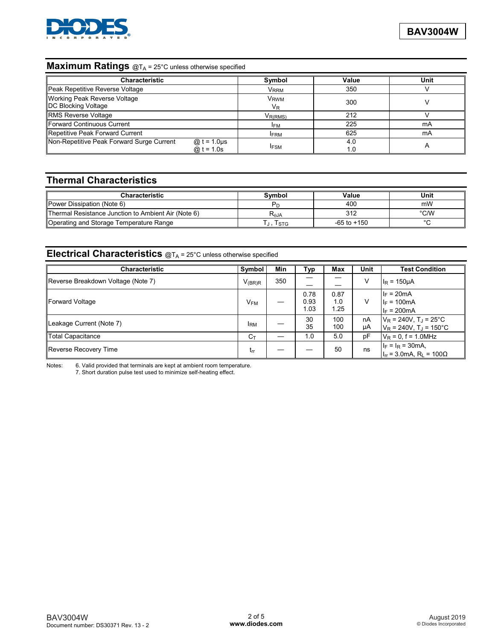

## **Maximum Ratings** @T<sub>A</sub> = 25°C unless otherwise specified

| <b>Characteristic</b>                                                        | Symbol                      | Value      | Unit |
|------------------------------------------------------------------------------|-----------------------------|------------|------|
| Peak Repetitive Reverse Voltage                                              | <b>VRRM</b>                 | 350        |      |
| <b>Working Peak Reverse Voltage</b><br><b>DC Blocking Voltage</b>            | V <sub>RWM</sub><br>$V_{R}$ | 300        |      |
| RMS Reverse Voltage                                                          | $V_{R(RMS)}$                | 212        |      |
| Forward Continuous Current                                                   | <b>IFM</b>                  | 225        | mA   |
| Repetitive Peak Forward Current                                              | <b>IFRM</b>                 | 625        | mA   |
| Non-Repetitive Peak Forward Surge Current<br>@ t = 1.0 $\mu$ s<br>@ t = 1.0s | <b>IFSM</b>                 | 4.0<br>1.0 | Α    |

# **Thermal Characteristics**

| <b>Characteristic</b>                               | Symbol           | Value           | Unit |
|-----------------------------------------------------|------------------|-----------------|------|
| Power Dissipation (Note 6)                          | Pr.              | 400             | mW   |
| Thermal Resistance Junction to Ambient Air (Note 6) | R <sub>aja</sub> | 312             | °C/W |
| Operating and Storage Temperature Range             | I STG            | $-65$ to $+150$ |      |

## **Electrical Characteristics**  $@T_A = 25^\circ$ C unless otherwise specified

| <b>Characteristic</b>              | Symbol          | <b>Min</b> | Typ                  | Max                 | Unit     | <b>Test Condition</b>                                                                    |
|------------------------------------|-----------------|------------|----------------------|---------------------|----------|------------------------------------------------------------------------------------------|
| Reverse Breakdown Voltage (Note 7) | $V_{(BR)R}$     | 350        |                      |                     | V        | $I_R = 150 \mu A$                                                                        |
| Forward Voltage                    | V <sub>FM</sub> |            | 0.78<br>0.93<br>1.03 | 0.87<br>1.0<br>1.25 | v        | $I_F = 20mA$<br>$I_F = 100mA$<br>$I_F = 200mA$                                           |
| Leakage Current (Note 7)           | <b>IRM</b>      |            | 30<br>35             | 100<br>100          | nA<br>μA | $V_R$ = 240V, T <sub>J</sub> = 25 <sup>°</sup> C<br>$V_R$ = 240V, T <sub>J</sub> = 150°C |
| Total Capacitance                  | $C_{\text{L}}$  |            | 1.0                  | 5.0                 | pF       | $V_R = 0$ , f = 1.0MHz                                                                   |
| Reverse Recovery Time              | trr             |            |                      | 50                  | ns       | $I_F = I_R = 30mA,$<br>$I_{rr}$ = 3.0mA, R <sub>1</sub> = 100 $\Omega$                   |

Notes: 6. Valid provided that terminals are kept at ambient room temperature.

7. Short duration pulse test used to minimize self-heating effect.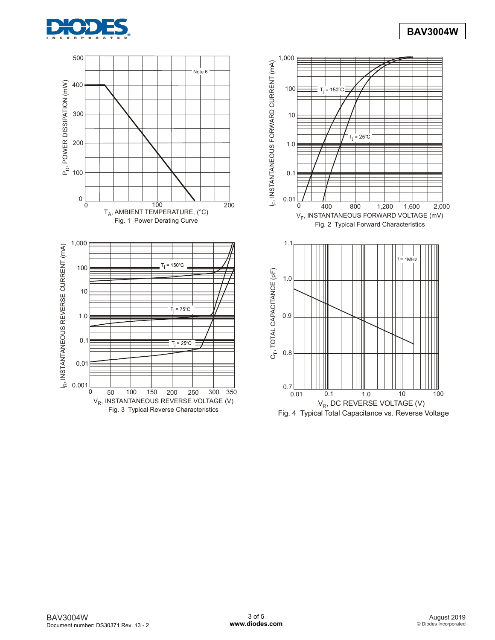



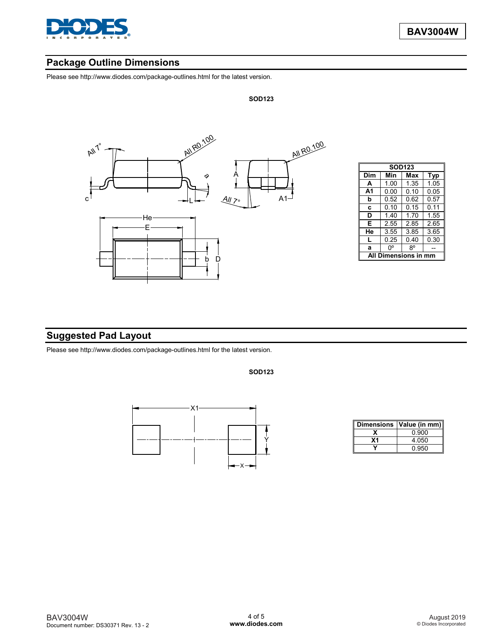

## **Package Outline Dimensions**

Please see [http://www.diodes.com/package-outlines.html fo](http://www.diodes.com/package-outlines.html)r the latest version.



| <b>SOD123</b>            |      |      |      |  |  |  |  |  |  |
|--------------------------|------|------|------|--|--|--|--|--|--|
| Dim<br>Min<br>Max<br>Typ |      |      |      |  |  |  |  |  |  |
| A                        | 1.00 | 1.35 | 1.05 |  |  |  |  |  |  |
| A1                       | 0.00 | 0.10 | 0.05 |  |  |  |  |  |  |
| b                        | 0.52 | 0.62 | 0.57 |  |  |  |  |  |  |
| C                        | 0.10 | 0.15 | 0.11 |  |  |  |  |  |  |
| D                        | 140  | 170  | 1.55 |  |  |  |  |  |  |
| Е                        | 2.55 | 285  | 2.65 |  |  |  |  |  |  |
| He                       | 3.55 | 3.85 | 3.65 |  |  |  |  |  |  |
| L                        | 0.25 | 0.40 | 0.30 |  |  |  |  |  |  |
| a                        | n۰   | R٥   |      |  |  |  |  |  |  |
| Dimensions i             |      |      |      |  |  |  |  |  |  |

# **Suggested Pad Layout**

Please see [http://www.diodes.com/package-outlines.html fo](http://www.diodes.com/package-outlines.html)r the latest version.



**SOD123**



| Dimensions   Value (in mm) |  |  |  |
|----------------------------|--|--|--|
| 0.900                      |  |  |  |
| 4.050                      |  |  |  |
| 0.950                      |  |  |  |

#### BAV3004W Document number: DS30371 Rev. 13 - 2